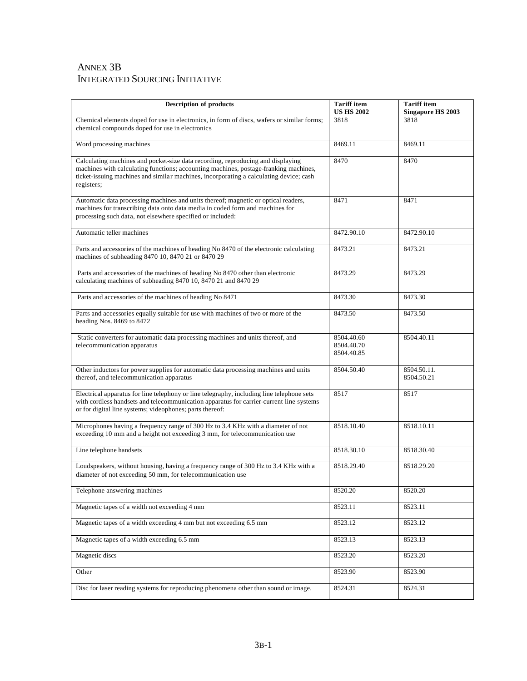## ANNEX 3B INTEGRATED SOURCING INITIATIVE

| <b>Description of products</b>                                                                                                                                                                                                                                                  | <b>Tariff</b> item<br><b>US HS 2002</b> | <b>Tariff</b> item<br><b>Singapore HS 2003</b> |
|---------------------------------------------------------------------------------------------------------------------------------------------------------------------------------------------------------------------------------------------------------------------------------|-----------------------------------------|------------------------------------------------|
| Chemical elements doped for use in electronics, in form of discs, wafers or similar forms;<br>chemical compounds doped for use in electronics                                                                                                                                   | 3818                                    | 3818                                           |
| Word processing machines                                                                                                                                                                                                                                                        | 8469.11                                 | 8469.11                                        |
| Calculating machines and pocket-size data recording, reproducing and displaying<br>machines with calculating functions; accounting machines, postage-franking machines,<br>ticket-issuing machines and similar machines, incorporating a calculating device; cash<br>registers; | 8470                                    | 8470                                           |
| Automatic data processing machines and units thereof; magnetic or optical readers,<br>machines for transcribing data onto data media in coded form and machines for<br>processing such data, not elsewhere specified or included:                                               | 8471                                    | 8471                                           |
| Automatic teller machines                                                                                                                                                                                                                                                       | 8472.90.10                              | 8472.90.10                                     |
| Parts and accessories of the machines of heading No 8470 of the electronic calculating<br>machines of subheading 8470 10, 8470 21 or 8470 29                                                                                                                                    | 8473.21                                 | 8473.21                                        |
| Parts and accessories of the machines of heading No 8470 other than electronic<br>calculating machines of subheading 8470 10, 8470 21 and 8470 29                                                                                                                               | 8473.29                                 | 8473.29                                        |
| Parts and accessories of the machines of heading No 8471                                                                                                                                                                                                                        | 8473.30                                 | 8473.30                                        |
| Parts and accessories equally suitable for use with machines of two or more of the<br>heading Nos. 8469 to 8472                                                                                                                                                                 | 8473.50                                 | 8473.50                                        |
| Static converters for automatic data processing machines and units thereof, and<br>telecommunication apparatus                                                                                                                                                                  | 8504.40.60<br>8504.40.70<br>8504.40.85  | 8504.40.11                                     |
| Other inductors for power supplies for automatic data processing machines and units<br>thereof, and telecommunication apparatus                                                                                                                                                 | 8504.50.40                              | 8504.50.11.<br>8504.50.21                      |
| Electrical apparatus for line telephony or line telegraphy, including line telephone sets<br>with cordless handsets and telecommunication apparatus for carrier-current line systems<br>or for digital line systems; videophones; parts thereof:                                | 8517                                    | 8517                                           |
| Microphones having a frequency range of 300 Hz to 3.4 KHz with a diameter of not<br>exceeding 10 mm and a height not exceeding 3 mm, for telecommunication use                                                                                                                  | 8518.10.40                              | 8518.10.11                                     |
| Line telephone handsets                                                                                                                                                                                                                                                         | 8518.30.10                              | 8518.30.40                                     |
| Loudspeakers, without housing, having a frequency range of 300 Hz to 3.4 KHz with a<br>diameter of not exceeding 50 mm, for telecommunication use                                                                                                                               | 8518.29.40                              | 8518.29.20                                     |
| Telephone answering machines                                                                                                                                                                                                                                                    | 8520.20                                 | 8520.20                                        |
| Magnetic tapes of a width not exceeding 4 mm                                                                                                                                                                                                                                    | 8523.11                                 | 8523.11                                        |
| Magnetic tapes of a width exceeding 4 mm but not exceeding 6.5 mm                                                                                                                                                                                                               | 8523.12                                 | 8523.12                                        |
| Magnetic tapes of a width exceeding 6.5 mm                                                                                                                                                                                                                                      | 8523.13                                 | 8523.13                                        |
| Magnetic discs                                                                                                                                                                                                                                                                  | 8523.20                                 | 8523.20                                        |
| Other                                                                                                                                                                                                                                                                           | 8523.90                                 | 8523.90                                        |
| Disc for laser reading systems for reproducing phenomena other than sound or image.                                                                                                                                                                                             | 8524.31                                 | 8524.31                                        |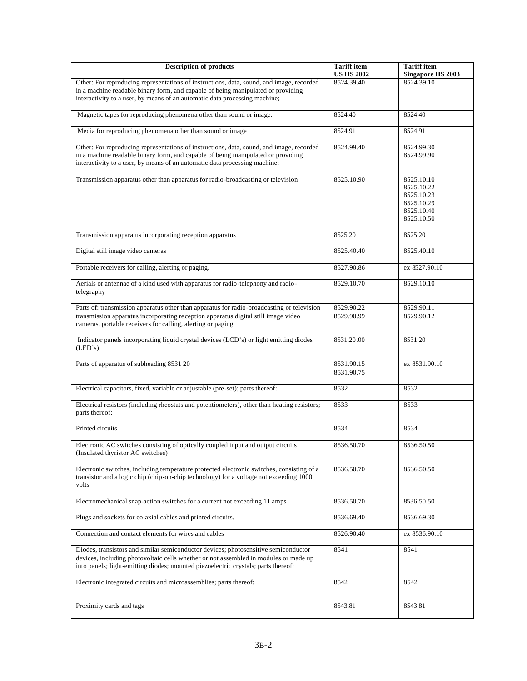| <b>Description of products</b>                                                                                                                                                                                                                                    | <b>Tariff</b> item<br><b>US HS 2002</b> | <b>Tariff</b> item<br><b>Singapore HS 2003</b>                                   |
|-------------------------------------------------------------------------------------------------------------------------------------------------------------------------------------------------------------------------------------------------------------------|-----------------------------------------|----------------------------------------------------------------------------------|
| Other: For reproducing representations of instructions, data, sound, and image, recorded                                                                                                                                                                          | 8524.39.40                              | 8524.39.10                                                                       |
| in a machine readable binary form, and capable of being manipulated or providing<br>interactivity to a user, by means of an automatic data processing machine;                                                                                                    |                                         |                                                                                  |
| Magnetic tapes for reproducing phenomena other than sound or image.                                                                                                                                                                                               | 8524.40                                 | 8524.40                                                                          |
| Media for reproducing phenomena other than sound or image                                                                                                                                                                                                         | 8524.91                                 | 8524.91                                                                          |
| Other: For reproducing representations of instructions, data, sound, and image, recorded<br>in a machine readable binary form, and capable of being manipulated or providing<br>interactivity to a user, by means of an automatic data processing machine;        | 8524.99.40                              | 8524.99.30<br>8524.99.90                                                         |
| Transmission apparatus other than apparatus for radio-broadcasting or television                                                                                                                                                                                  | 8525.10.90                              | 8525.10.10<br>8525.10.22<br>8525.10.23<br>8525.10.29<br>8525.10.40<br>8525.10.50 |
| Transmission apparatus incorporating reception apparatus                                                                                                                                                                                                          | 8525.20                                 | 8525.20                                                                          |
| Digital still image video cameras                                                                                                                                                                                                                                 | 8525.40.40                              | 8525.40.10                                                                       |
| Portable receivers for calling, alerting or paging.                                                                                                                                                                                                               | 8527.90.86                              | ex 8527.90.10                                                                    |
| Aerials or antennae of a kind used with apparatus for radio-telephony and radio-<br>telegraphy                                                                                                                                                                    | 8529.10.70                              | 8529.10.10                                                                       |
| Parts of: transmission apparatus other than apparatus for radio-broadcasting or television<br>transmission apparatus incorporating reception apparatus digital still image video<br>cameras, portable receivers for calling, alerting or paging                   | 8529.90.22<br>8529.90.99                | 8529.90.11<br>8529.90.12                                                         |
| Indicator panels incorporating liquid crystal devices (LCD's) or light emitting diodes<br>(LED's)                                                                                                                                                                 | 8531.20.00                              | 8531.20                                                                          |
| Parts of apparatus of subheading 8531 20                                                                                                                                                                                                                          | 8531.90.15<br>8531.90.75                | ex 8531.90.10                                                                    |
| Electrical capacitors, fixed, variable or adjustable (pre-set); parts thereof:                                                                                                                                                                                    | 8532                                    | 8532                                                                             |
| Electrical resistors (including rheostats and potentiometers), other than heating resistors;<br>parts thereof:                                                                                                                                                    | 8533                                    | 8533                                                                             |
| Printed circuits                                                                                                                                                                                                                                                  | 8534                                    | 8534                                                                             |
| Electronic AC switches consisting of optically coupled input and output circuits<br>(Insulated thyristor AC switches)                                                                                                                                             | 8536.50.70                              | 8536.50.50                                                                       |
| Electronic switches, including temperature protected electronic switches, consisting of a<br>transistor and a logic chip (chip-on-chip technology) for a voltage not exceeding 1000<br>volts                                                                      | 8536.50.70                              | 8536.50.50                                                                       |
| Electromechanical snap-action switches for a current not exceeding 11 amps                                                                                                                                                                                        | 8536.50.70                              | 8536.50.50                                                                       |
| Plugs and sockets for co-axial cables and printed circuits.                                                                                                                                                                                                       | 8536.69.40                              | 8536.69.30                                                                       |
| Connection and contact elements for wires and cables                                                                                                                                                                                                              | 8526.90.40                              | ex 8536.90.10                                                                    |
| Diodes, transistors and similar semiconductor devices; photosensitive semiconductor<br>devices, including photovoltaic cells whether or not assembled in modules or made up<br>into panels; light-emitting diodes; mounted piezoelectric crystals; parts thereof: | 8541                                    | 8541                                                                             |
| Electronic integrated circuits and microassemblies; parts thereof:                                                                                                                                                                                                | 8542                                    | 8542                                                                             |
| Proximity cards and tags                                                                                                                                                                                                                                          | 8543.81                                 | 8543.81                                                                          |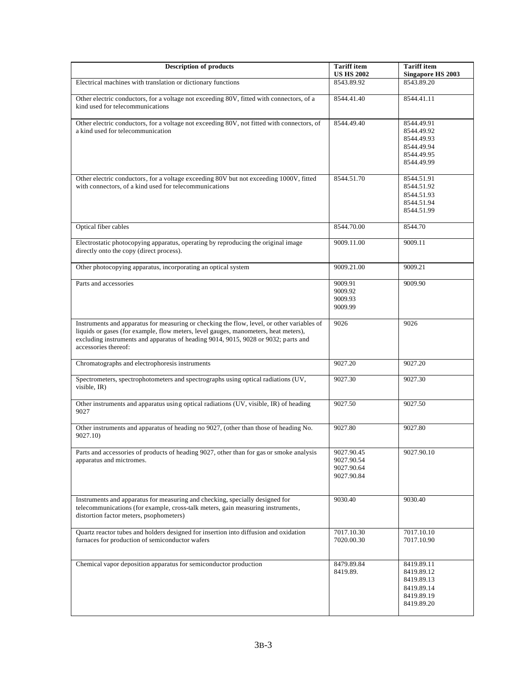| <b>Description of products</b>                                                                                                                                                                                                                                                                  | <b>Tariff</b> item<br><b>US HS 2002</b>              | <b>Tariff</b> item<br><b>Singapore HS 2003</b>                                   |
|-------------------------------------------------------------------------------------------------------------------------------------------------------------------------------------------------------------------------------------------------------------------------------------------------|------------------------------------------------------|----------------------------------------------------------------------------------|
| Electrical machines with translation or dictionary functions                                                                                                                                                                                                                                    | 8543.89.92                                           | 8543.89.20                                                                       |
| Other electric conductors, for a voltage not exceeding 80V, fitted with connectors, of a<br>kind used for telecommunications                                                                                                                                                                    | 8544.41.40                                           | 8544.41.11                                                                       |
| Other electric conductors, for a voltage not exceeding 80V, not fitted with connectors, of<br>a kind used for telecommunication                                                                                                                                                                 | 8544.49.40                                           | 8544.49.91<br>8544.49.92<br>8544.49.93<br>8544.49.94<br>8544.49.95<br>8544.49.99 |
| Other electric conductors, for a voltage exceeding 80V but not exceeding 1000V, fitted<br>with connectors, of a kind used for telecommunications                                                                                                                                                | 8544.51.70                                           | 8544.51.91<br>8544.51.92<br>8544.51.93<br>8544.51.94<br>8544.51.99               |
| Optical fiber cables                                                                                                                                                                                                                                                                            | 8544.70.00                                           | 8544.70                                                                          |
| Electrostatic photocopying apparatus, operating by reproducing the original image<br>directly onto the copy (direct process).                                                                                                                                                                   | 9009.11.00                                           | 9009.11                                                                          |
| Other photocopying apparatus, incorporating an optical system                                                                                                                                                                                                                                   | 9009.21.00                                           | 9009.21                                                                          |
| Parts and accessories                                                                                                                                                                                                                                                                           | 9009.91<br>9009.92<br>9009.93<br>9009.99             | 9009.90                                                                          |
| Instruments and apparatus for measuring or checking the flow, level, or other variables of<br>liquids or gases (for example, flow meters, level gauges, manometers, heat meters),<br>excluding instruments and apparatus of heading 9014, 9015, 9028 or 9032; parts and<br>accessories thereof: | 9026                                                 | 9026                                                                             |
| Chromatographs and electrophoresis instruments                                                                                                                                                                                                                                                  | 9027.20                                              | 9027.20                                                                          |
| Spectrometers, spectrophotometers and spectrographs using optical radiations (UV,<br>visible, IR)                                                                                                                                                                                               | 9027.30                                              | 9027.30                                                                          |
| Other instruments and apparatus using optical radiations (UV, visible, IR) of heading<br>9027                                                                                                                                                                                                   | 9027.50                                              | 9027.50                                                                          |
| Other instruments and apparatus of heading no 9027, (other than those of heading No.<br>9027.10)                                                                                                                                                                                                | 9027.80                                              | 9027.80                                                                          |
| Parts and accessories of products of heading 9027, other than for gas or smoke analysis<br>apparatus and mictromes.                                                                                                                                                                             | 9027.90.45<br>9027.90.54<br>9027.90.64<br>9027.90.84 | 9027.90.10                                                                       |
| Instruments and apparatus for measuring and checking, specially designed for<br>telecommunications (for example, cross-talk meters, gain measuring instruments,<br>distortion factor meters, psophometers)                                                                                      | 9030.40                                              | 9030.40                                                                          |
| Quartz reactor tubes and holders designed for insertion into diffusion and oxidation<br>furnaces for production of semiconductor wafers                                                                                                                                                         | 7017.10.30<br>7020.00.30                             | 7017.10.10<br>7017.10.90                                                         |
| Chemical vapor deposition apparatus for semiconductor production                                                                                                                                                                                                                                | 8479.89.84<br>8419.89.                               | 8419.89.11<br>8419.89.12<br>8419.89.13<br>8419.89.14<br>8419.89.19<br>8419.89.20 |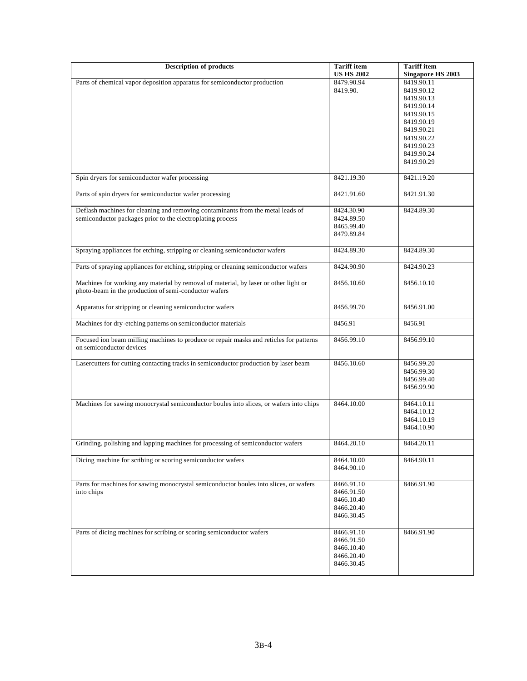| <b>Description of products</b>                                                                                                                | <b>Tariff</b> item<br><b>US HS 2002</b> | <b>Tariff</b> item<br><b>Singapore HS 2003</b> |
|-----------------------------------------------------------------------------------------------------------------------------------------------|-----------------------------------------|------------------------------------------------|
| Parts of chemical vapor deposition apparatus for semiconductor production                                                                     | 8479.90.94                              | 8419.90.11                                     |
|                                                                                                                                               | 8419.90.                                | 8419.90.12                                     |
|                                                                                                                                               |                                         | 8419.90.13                                     |
|                                                                                                                                               |                                         | 8419.90.14                                     |
|                                                                                                                                               |                                         | 8419.90.15                                     |
|                                                                                                                                               |                                         | 8419.90.19                                     |
|                                                                                                                                               |                                         | 8419.90.21                                     |
|                                                                                                                                               |                                         | 8419.90.22                                     |
|                                                                                                                                               |                                         | 8419.90.23                                     |
|                                                                                                                                               |                                         | 8419.90.24                                     |
|                                                                                                                                               |                                         | 8419.90.29                                     |
| Spin dryers for semiconductor wafer processing                                                                                                | 8421.19.30                              | 8421.19.20                                     |
| Parts of spin dryers for semiconductor wafer processing                                                                                       | 8421.91.60                              | 8421.91.30                                     |
| Deflash machines for cleaning and removing contaminants from the metal leads of                                                               | 8424.30.90                              | 8424.89.30                                     |
| semiconductor packages prior to the electroplating process                                                                                    | 8424.89.50                              |                                                |
|                                                                                                                                               | 8465.99.40                              |                                                |
|                                                                                                                                               | 8479.89.84                              |                                                |
|                                                                                                                                               |                                         |                                                |
| Spraying appliances for etching, stripping or cleaning semiconductor wafers                                                                   | 8424.89.30                              | 8424.89.30                                     |
| Parts of spraying appliances for etching, stripping or cleaning semiconductor wafers                                                          | 8424.90.90                              | 8424.90.23                                     |
| Machines for working any material by removal of material, by laser or other light or<br>photo-beam in the production of semi-conductor wafers | 8456.10.60                              | 8456.10.10                                     |
| Apparatus for stripping or cleaning semiconductor wafers                                                                                      | 8456.99.70                              | 8456.91.00                                     |
| Machines for dry-etching patterns on semiconductor materials                                                                                  | 8456.91                                 | 8456.91                                        |
| Focused ion beam milling machines to produce or repair masks and reticles for patterns<br>on semiconductor devices                            | 8456.99.10                              | 8456.99.10                                     |
| Lasercutters for cutting contacting tracks in semiconductor production by laser beam                                                          | 8456.10.60                              | 8456.99.20                                     |
|                                                                                                                                               |                                         | 8456.99.30                                     |
|                                                                                                                                               |                                         | 8456.99.40                                     |
|                                                                                                                                               |                                         | 8456.99.90                                     |
|                                                                                                                                               |                                         |                                                |
| Machines for sawing monocrystal semiconductor boules into slices, or wafers into chips                                                        | 8464.10.00                              | 8464.10.11                                     |
|                                                                                                                                               |                                         | 8464.10.12                                     |
|                                                                                                                                               |                                         | 8464.10.19                                     |
|                                                                                                                                               |                                         | 8464.10.90                                     |
|                                                                                                                                               |                                         |                                                |
| Grinding, polishing and lapping machines for processing of semiconductor wafers                                                               | 8464.20.10                              | 8464.20.11                                     |
| Dicing machine for scribing or scoring semiconductor wafers                                                                                   | 8464.10.00                              | 8464.90.11                                     |
|                                                                                                                                               | 8464.90.10                              |                                                |
| Parts for machines for sawing monocrystal semiconductor boules into slices, or wafers                                                         | 8466.91.10                              | 8466.91.90                                     |
| into chips                                                                                                                                    | 8466.91.50                              |                                                |
|                                                                                                                                               | 8466.10.40                              |                                                |
|                                                                                                                                               | 8466.20.40                              |                                                |
|                                                                                                                                               | 8466.30.45                              |                                                |
| Parts of dicing machines for scribing or scoring semiconductor wafers                                                                         | 8466.91.10                              | 8466.91.90                                     |
|                                                                                                                                               | 8466.91.50                              |                                                |
|                                                                                                                                               | 8466.10.40                              |                                                |
|                                                                                                                                               | 8466.20.40                              |                                                |
|                                                                                                                                               | 8466.30.45                              |                                                |
|                                                                                                                                               |                                         |                                                |
|                                                                                                                                               |                                         |                                                |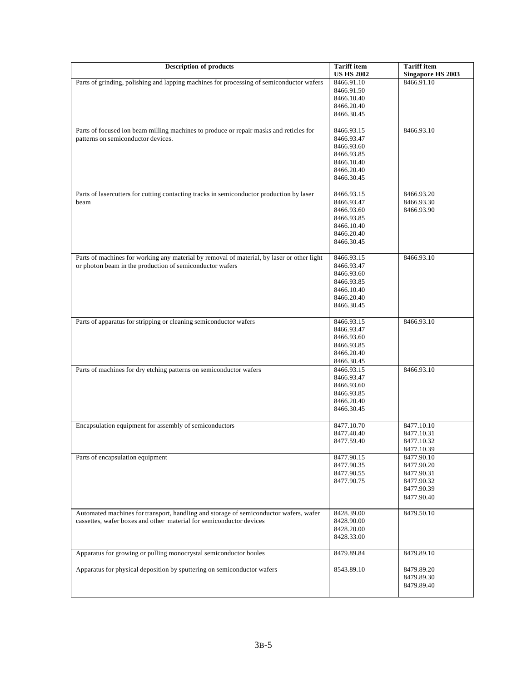| <b>Description of products</b>                                                             | <b>Tariff</b> item<br><b>US HS 2002</b> | <b>Tariff</b> item<br><b>Singapore HS 2003</b> |
|--------------------------------------------------------------------------------------------|-----------------------------------------|------------------------------------------------|
| Parts of grinding, polishing and lapping machines for processing of semiconductor wafers   | 8466.91.10                              | 8466.91.10                                     |
|                                                                                            | 8466.91.50                              |                                                |
|                                                                                            | 8466.10.40                              |                                                |
|                                                                                            | 8466.20.40                              |                                                |
|                                                                                            | 8466.30.45                              |                                                |
| Parts of focused ion beam milling machines to produce or repair masks and reticles for     | 8466.93.15                              | 8466.93.10                                     |
| patterns on semiconductor devices.                                                         | 8466.93.47                              |                                                |
|                                                                                            | 8466.93.60                              |                                                |
|                                                                                            | 8466.93.85                              |                                                |
|                                                                                            | 8466.10.40                              |                                                |
|                                                                                            | 8466.20.40                              |                                                |
|                                                                                            | 8466.30.45                              |                                                |
| Parts of lasercutters for cutting contacting tracks in semiconductor production by laser   | 8466.93.15                              | 8466.93.20                                     |
| beam                                                                                       | 8466.93.47                              | 8466.93.30                                     |
|                                                                                            | 8466.93.60                              | 8466.93.90                                     |
|                                                                                            | 8466.93.85                              |                                                |
|                                                                                            | 8466.10.40                              |                                                |
|                                                                                            | 8466.20.40                              |                                                |
|                                                                                            | 8466.30.45                              |                                                |
| Parts of machines for working any material by removal of material, by laser or other light | 8466.93.15                              | 8466.93.10                                     |
| or photon beam in the production of semiconductor wafers                                   | 8466.93.47                              |                                                |
|                                                                                            | 8466.93.60                              |                                                |
|                                                                                            | 8466.93.85                              |                                                |
|                                                                                            | 8466.10.40                              |                                                |
|                                                                                            | 8466.20.40                              |                                                |
|                                                                                            | 8466.30.45                              |                                                |
| Parts of apparatus for stripping or cleaning semiconductor wafers                          | 8466.93.15                              | 8466.93.10                                     |
|                                                                                            | 8466.93.47                              |                                                |
|                                                                                            | 8466.93.60                              |                                                |
|                                                                                            | 8466.93.85                              |                                                |
|                                                                                            | 8466.20.40                              |                                                |
|                                                                                            | 8466.30.45                              |                                                |
| Parts of machines for dry etching patterns on semiconductor wafers                         | 8466.93.15                              | 8466.93.10                                     |
|                                                                                            | 8466.93.47                              |                                                |
|                                                                                            | 8466.93.60<br>8466.93.85                |                                                |
|                                                                                            | 8466.20.40                              |                                                |
|                                                                                            | 8466.30.45                              |                                                |
| Encapsulation equipment for assembly of semiconductors                                     | 8477.10.70                              | 8477.10.10                                     |
|                                                                                            | 8477.40.40                              | 8477.10.31                                     |
|                                                                                            | 8477.59.40                              | 8477.10.32                                     |
|                                                                                            |                                         | 8477.10.39                                     |
| Parts of encapsulation equipment                                                           | 8477.90.15                              | 8477.90.10                                     |
|                                                                                            | 8477.90.35                              | 8477.90.20                                     |
|                                                                                            | 8477.90.55                              | 8477.90.31                                     |
|                                                                                            | 8477.90.75                              | 8477.90.32                                     |
|                                                                                            |                                         | 8477.90.39                                     |
|                                                                                            |                                         | 8477.90.40                                     |
| Automated machines for transport, handling and storage of semiconductor wafers, wafer      | 8428.39.00                              | 8479.50.10                                     |
| cassettes, wafer boxes and other material for semiconductor devices                        | 8428.90.00                              |                                                |
|                                                                                            | 8428.20.00                              |                                                |
|                                                                                            | 8428.33.00                              |                                                |
| Apparatus for growing or pulling monocrystal semiconductor boules                          | 8479.89.84                              | 8479.89.10                                     |
|                                                                                            |                                         |                                                |
| Apparatus for physical deposition by sputtering on semiconductor wafers                    | 8543.89.10                              | 8479.89.20                                     |
|                                                                                            |                                         | 8479.89.30                                     |
|                                                                                            |                                         | 8479.89.40                                     |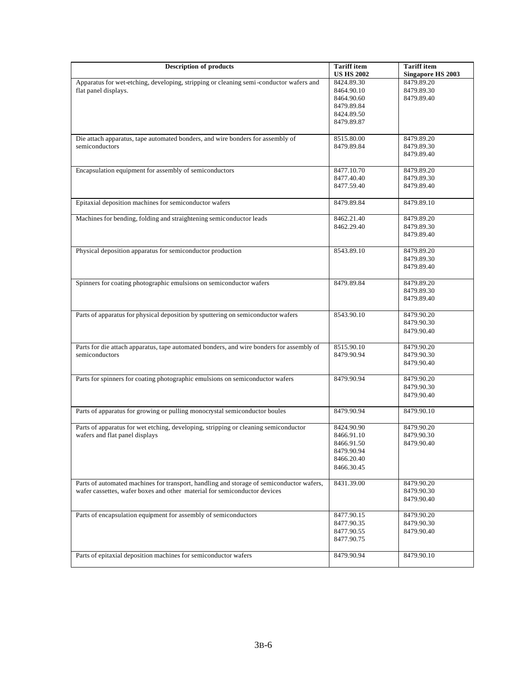| <b>Description of products</b>                                                           | <b>Tariff</b> item<br><b>US HS 2002</b> | <b>Tariff</b> item<br><b>Singapore HS 2003</b> |
|------------------------------------------------------------------------------------------|-----------------------------------------|------------------------------------------------|
| Apparatus for wet-etching, developing, stripping or cleaning semi-conductor wafers and   | 8424.89.30                              | 8479.89.20                                     |
| flat panel displays.                                                                     | 8464.90.10                              | 8479.89.30                                     |
|                                                                                          | 8464.90.60                              | 8479.89.40                                     |
|                                                                                          | 8479.89.84                              |                                                |
|                                                                                          |                                         |                                                |
|                                                                                          | 8424.89.50                              |                                                |
|                                                                                          | 8479.89.87                              |                                                |
| Die attach apparatus, tape automated bonders, and wire bonders for assembly of           | 8515.80.00                              | 8479.89.20                                     |
| semiconductors                                                                           | 8479.89.84                              | 8479.89.30                                     |
|                                                                                          |                                         | 8479.89.40                                     |
| Encapsulation equipment for assembly of semiconductors                                   | 8477.10.70                              | 8479.89.20                                     |
|                                                                                          | 8477.40.40                              | 8479.89.30                                     |
|                                                                                          | 8477.59.40                              | 8479.89.40                                     |
| Epitaxial deposition machines for semiconductor wafers                                   | 8479.89.84                              | 8479.89.10                                     |
|                                                                                          |                                         |                                                |
| Machines for bending, folding and straightening semiconductor leads                      | 8462.21.40                              | 8479.89.20                                     |
|                                                                                          | 8462.29.40                              | 8479.89.30                                     |
|                                                                                          |                                         | 8479.89.40                                     |
| Physical deposition apparatus for semiconductor production                               | 8543.89.10                              | 8479.89.20                                     |
|                                                                                          |                                         | 8479.89.30                                     |
|                                                                                          |                                         | 8479.89.40                                     |
|                                                                                          |                                         |                                                |
| Spinners for coating photographic emulsions on semiconductor wafers                      | 8479.89.84                              | 8479.89.20                                     |
|                                                                                          |                                         | 8479.89.30                                     |
|                                                                                          |                                         | 8479.89.40                                     |
| Parts of apparatus for physical deposition by sputtering on semiconductor wafers         | 8543.90.10                              | 8479.90.20                                     |
|                                                                                          |                                         | 8479.90.30                                     |
|                                                                                          |                                         | 8479.90.40                                     |
| Parts for die attach apparatus, tape automated bonders, and wire bonders for assembly of | 8515.90.10                              | 8479.90.20                                     |
| semiconductors                                                                           | 8479.90.94                              | 8479.90.30                                     |
|                                                                                          |                                         | 8479.90.40                                     |
|                                                                                          |                                         |                                                |
| Parts for spinners for coating photographic emulsions on semiconductor wafers            | 8479.90.94                              | 8479.90.20                                     |
|                                                                                          |                                         | 8479.90.30                                     |
|                                                                                          |                                         | 8479.90.40                                     |
| Parts of apparatus for growing or pulling monocrystal semiconductor boules               | 8479.90.94                              | 8479.90.10                                     |
|                                                                                          |                                         |                                                |
| Parts of apparatus for wet etching, developing, stripping or cleaning semiconductor      | 8424.90.90                              | 8479.90.20                                     |
| wafers and flat panel displays                                                           | 8466.91.10                              | 8479.90.30                                     |
|                                                                                          | 8466.91.50                              | 8479.90.40                                     |
|                                                                                          | 8479.90.94                              |                                                |
|                                                                                          | 8466.20.40                              |                                                |
|                                                                                          | 8466.30.45                              |                                                |
| Parts of automated machines for transport, handling and storage of semiconductor wafers, | 8431.39.00                              | 8479.90.20                                     |
| wafer cassettes, wafer boxes and other material for semiconductor devices                |                                         | 8479.90.30                                     |
|                                                                                          |                                         | 8479.90.40                                     |
| Parts of encapsulation equipment for assembly of semiconductors                          | 8477.90.15                              | 8479.90.20                                     |
|                                                                                          | 8477.90.35                              | 8479.90.30                                     |
|                                                                                          | 8477.90.55                              | 8479.90.40                                     |
|                                                                                          | 8477.90.75                              |                                                |
|                                                                                          |                                         |                                                |
| Parts of epitaxial deposition machines for semiconductor wafers                          | 8479.90.94                              | 8479.90.10                                     |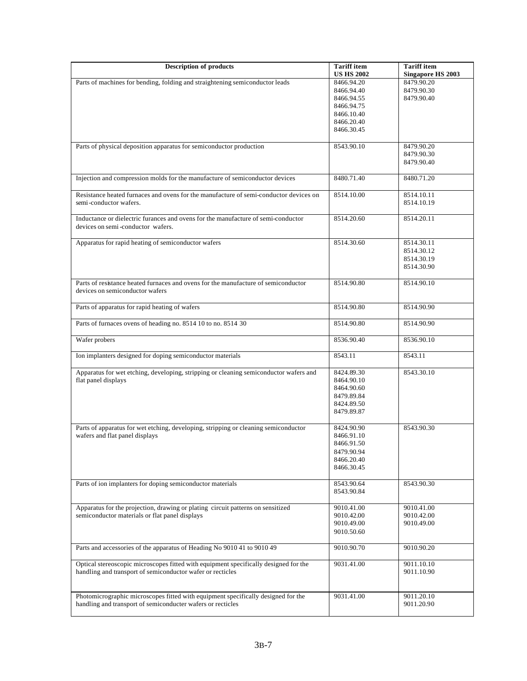| <b>Description of products</b>                                                        | <b>Tariff</b> item | <b>Tariff</b> item       |
|---------------------------------------------------------------------------------------|--------------------|--------------------------|
|                                                                                       | <b>US HS 2002</b>  | <b>Singapore HS 2003</b> |
| Parts of machines for bending, folding and straightening semiconductor leads          | 8466.94.20         | 8479.90.20               |
|                                                                                       | 8466.94.40         | 8479.90.30               |
|                                                                                       | 8466.94.55         | 8479.90.40               |
|                                                                                       | 8466.94.75         |                          |
|                                                                                       | 8466.10.40         |                          |
|                                                                                       | 8466.20.40         |                          |
|                                                                                       |                    |                          |
|                                                                                       | 8466.30.45         |                          |
| Parts of physical deposition apparatus for semiconductor production                   | 8543.90.10         | 8479.90.20               |
|                                                                                       |                    | 8479.90.30               |
|                                                                                       |                    |                          |
|                                                                                       |                    | 8479.90.40               |
| Injection and compression molds for the manufacture of semiconductor devices          | 8480.71.40         | 8480.71.20               |
| Resistance heated furnaces and ovens for the manufacture of semi-conductor devices on | 8514.10.00         | 8514.10.11               |
| semi-conductor wafers.                                                                |                    | 8514.10.19               |
|                                                                                       |                    |                          |
| Inductance or dielectric furances and ovens for the manufacture of semi-conductor     | 8514.20.60         | 8514.20.11               |
| devices on semi-conductor wafers.                                                     |                    |                          |
|                                                                                       |                    |                          |
| Apparatus for rapid heating of semiconductor wafers                                   | 8514.30.60         | 8514.30.11               |
|                                                                                       |                    |                          |
|                                                                                       |                    | 8514.30.12               |
|                                                                                       |                    | 8514.30.19               |
|                                                                                       |                    | 8514.30.90               |
|                                                                                       |                    |                          |
| Parts of resistance heated furnaces and ovens for the manufacture of semiconductor    | 8514.90.80         | 8514.90.10               |
| devices on semiconductor wafers                                                       |                    |                          |
|                                                                                       |                    |                          |
| Parts of apparatus for rapid heating of wafers                                        | 8514.90.80         | 8514.90.90               |
|                                                                                       |                    |                          |
| Parts of furnaces ovens of heading no. 8514 10 to no. 8514 30                         | 8514.90.80         | 8514.90.90               |
|                                                                                       |                    |                          |
| Wafer probers                                                                         | 8536.90.40         | 8536.90.10               |
|                                                                                       |                    |                          |
| Ion implanters designed for doping semiconductor materials                            | 8543.11            | 8543.11                  |
|                                                                                       |                    |                          |
| Apparatus for wet etching, developing, stripping or cleaning semiconductor wafers and | 8424.89.30         | 8543.30.10               |
| flat panel displays                                                                   | 8464.90.10         |                          |
|                                                                                       | 8464.90.60         |                          |
|                                                                                       | 8479.89.84         |                          |
|                                                                                       |                    |                          |
|                                                                                       | 8424.89.50         |                          |
|                                                                                       | 8479.89.87         |                          |
|                                                                                       |                    |                          |
| Parts of apparatus for wet etching, developing, stripping or cleaning semiconductor   | 8424.90.90         | 8543.90.30               |
| wafers and flat panel displays                                                        | 8466.91.10         |                          |
|                                                                                       | 8466.91.50         |                          |
|                                                                                       | 8479.90.94         |                          |
|                                                                                       | 8466.20.40         |                          |
|                                                                                       | 8466.30.45         |                          |
|                                                                                       |                    |                          |
| Parts of ion implanters for doping semiconductor materials                            | 8543.90.64         | 8543.90.30               |
|                                                                                       | 8543.90.84         |                          |
|                                                                                       |                    |                          |
| Apparatus for the projection, drawing or plating circuit patterns on sensitized       | 9010.41.00         | 9010.41.00               |
| semiconductor materials or flat panel displays                                        | 9010.42.00         | 9010.42.00               |
|                                                                                       | 9010.49.00         | 9010.49.00               |
|                                                                                       | 9010.50.60         |                          |
|                                                                                       |                    |                          |
| Parts and accessories of the apparatus of Heading No 9010 41 to 9010 49               | 9010.90.70         | 9010.90.20               |
|                                                                                       |                    |                          |
| Optical stereoscopic microscopes fitted with equipment specifically designed for the  | 9031.41.00         | 9011.10.10               |
| handling and transport of semiconductor wafer or recticles                            |                    | 9011.10.90               |
|                                                                                       |                    |                          |
|                                                                                       |                    |                          |
|                                                                                       |                    |                          |
| Photomicrographic microscopes fitted with equipment specifically designed for the     | 9031.41.00         | 9011.20.10               |
| handling and transport of semiconducter wafers or recticles                           |                    | 9011.20.90               |
|                                                                                       |                    |                          |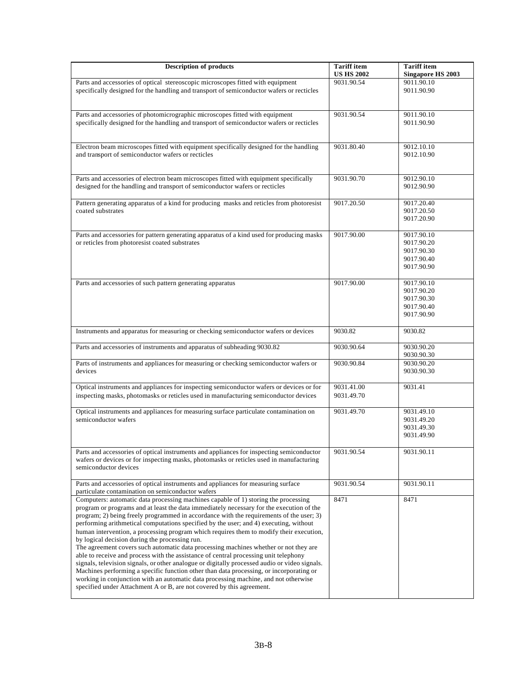| <b>Description of products</b>                                                                                                                                                      | <b>Tariff</b> item | <b>Tariff</b> item       |
|-------------------------------------------------------------------------------------------------------------------------------------------------------------------------------------|--------------------|--------------------------|
|                                                                                                                                                                                     | <b>US HS 2002</b>  | <b>Singapore HS 2003</b> |
| Parts and accessories of optical stereoscopic microscopes fitted with equipment                                                                                                     | 9031.90.54         | 9011.90.10               |
| specifically designed for the handling and transport of semiconductor wafers or recticles                                                                                           |                    | 9011.90.90               |
|                                                                                                                                                                                     |                    |                          |
| Parts and accessories of photomicrographic microscopes fitted with equipment                                                                                                        | 9031.90.54         | 9011.90.10               |
| specifically designed for the handling and transport of semiconductor wafers or recticles                                                                                           |                    | 9011.90.90               |
|                                                                                                                                                                                     |                    |                          |
|                                                                                                                                                                                     |                    |                          |
| Electron beam microscopes fitted with equipment specifically designed for the handling                                                                                              | 9031.80.40         | 9012.10.10               |
| and transport of semiconductor wafers or recticles                                                                                                                                  |                    | 9012.10.90               |
|                                                                                                                                                                                     |                    |                          |
|                                                                                                                                                                                     |                    |                          |
| Parts and accessories of electron beam microscopes fitted with equipment specifically                                                                                               | 9031.90.70         | 9012.90.10<br>9012.90.90 |
| designed for the handling and transport of semiconductor wafers or recticles                                                                                                        |                    |                          |
| Pattern generating apparatus of a kind for producing masks and reticles from photoresist                                                                                            | 9017.20.50         | 9017.20.40               |
| coated substrates                                                                                                                                                                   |                    | 9017.20.50               |
|                                                                                                                                                                                     |                    | 9017.20.90               |
|                                                                                                                                                                                     |                    |                          |
| Parts and accessories for pattern generating apparatus of a kind used for producing masks                                                                                           | 9017.90.00         | 9017.90.10               |
| or reticles from photoresist coated substrates                                                                                                                                      |                    | 9017.90.20               |
|                                                                                                                                                                                     |                    | 9017.90.30               |
|                                                                                                                                                                                     |                    | 9017.90.40               |
|                                                                                                                                                                                     |                    | 9017.90.90               |
| Parts and accessories of such pattern generating apparatus                                                                                                                          | 9017.90.00         | 9017.90.10               |
|                                                                                                                                                                                     |                    | 9017.90.20               |
|                                                                                                                                                                                     |                    | 9017.90.30               |
|                                                                                                                                                                                     |                    | 9017.90.40               |
|                                                                                                                                                                                     |                    | 9017.90.90               |
|                                                                                                                                                                                     |                    |                          |
| Instruments and apparatus for measuring or checking semiconductor wafers or devices                                                                                                 | 9030.82            | 9030.82                  |
| Parts and accessories of instruments and apparatus of subheading 9030.82                                                                                                            | 9030.90.64         | 9030.90.20               |
|                                                                                                                                                                                     |                    | 9030.90.30               |
| Parts of instruments and appliances for measuring or checking semiconductor wafers or                                                                                               | 9030.90.84         | 9030.90.20               |
| devices                                                                                                                                                                             |                    | 9030.90.30               |
| Optical instruments and appliances for inspecting semiconductor wafers or devices or for                                                                                            | 9031.41.00         | 9031.41                  |
| inspecting masks, photomasks or reticles used in manufacturing semiconductor devices                                                                                                | 9031.49.70         |                          |
|                                                                                                                                                                                     |                    |                          |
| Optical instruments and appliances for measuring surface particulate contamination on                                                                                               | 9031.49.70         | 9031.49.10               |
| semiconductor wafers                                                                                                                                                                |                    | 9031.49.20               |
|                                                                                                                                                                                     |                    | 9031.49.30               |
|                                                                                                                                                                                     |                    | 9031.49.90               |
|                                                                                                                                                                                     |                    |                          |
| Parts and accessories of optical instruments and appliances for inspecting semiconductor<br>wafers or devices or for inspecting masks, photomasks or reticles used in manufacturing | 9031.90.54         | 9031.90.11               |
| semiconductor devices                                                                                                                                                               |                    |                          |
|                                                                                                                                                                                     |                    |                          |
| Parts and accessories of optical instruments and appliances for measuring surface                                                                                                   | 9031.90.54         | 9031.90.11               |
| particulate contamination on semiconductor wafers                                                                                                                                   |                    |                          |
| Computers: automatic data processing machines capable of 1) storing the processing                                                                                                  | 8471               | 8471                     |
| program or programs and at least the data immediately necessary for the execution of the                                                                                            |                    |                          |
| program; 2) being freely programmed in accordance with the requirements of the user; 3)                                                                                             |                    |                          |
| performing arithmetical computations specified by the user; and 4) executing, without<br>human intervention, a processing program which requires them to modify their execution,    |                    |                          |
| by logical decision during the processing run.                                                                                                                                      |                    |                          |
| The agreement covers such automatic data processing machines whether or not they are                                                                                                |                    |                          |
| able to receive and process with the assistance of central processing unit telephony                                                                                                |                    |                          |
| signals, television signals, or other analogue or digitally processed audio or video signals.                                                                                       |                    |                          |
| Machines performing a specific function other than data processing, or incorporating or                                                                                             |                    |                          |
| working in conjunction with an automatic data processing machine, and not otherwise                                                                                                 |                    |                          |
| specified under Attachment A or B, are not covered by this agreement.                                                                                                               |                    |                          |
|                                                                                                                                                                                     |                    |                          |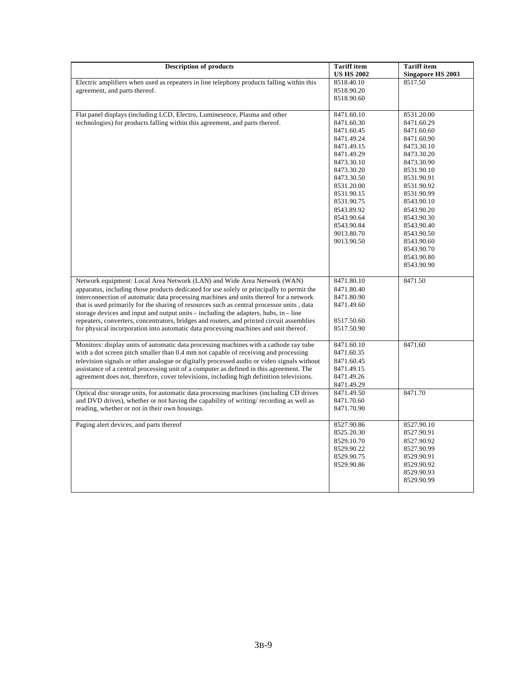| <b>Description of products</b>                                                                                                                                                                                                                                                                                                                                                                                                                                                                                                                                                                                                              | <b>Tariff</b> item<br><b>US HS 2002</b>                                                                                                                                                                                                    | <b>Tariff</b> item<br><b>Singapore HS 2003</b>                                                                                                                                                                                                                                       |
|---------------------------------------------------------------------------------------------------------------------------------------------------------------------------------------------------------------------------------------------------------------------------------------------------------------------------------------------------------------------------------------------------------------------------------------------------------------------------------------------------------------------------------------------------------------------------------------------------------------------------------------------|--------------------------------------------------------------------------------------------------------------------------------------------------------------------------------------------------------------------------------------------|--------------------------------------------------------------------------------------------------------------------------------------------------------------------------------------------------------------------------------------------------------------------------------------|
| Electric amplifiers when used as repeaters in line telephony products falling within this<br>agreement, and parts thereof.                                                                                                                                                                                                                                                                                                                                                                                                                                                                                                                  | 8518.40.10<br>8518.90.20<br>8518.90.60                                                                                                                                                                                                     | 8517.50                                                                                                                                                                                                                                                                              |
| Flat panel displays (including LCD, Electro, Luminesence, Plasma and other<br>technologies) for products falling within this agreement, and parts thereof.                                                                                                                                                                                                                                                                                                                                                                                                                                                                                  | 8471.60.10<br>8471.60.30<br>8471.60.45<br>8471.49.24<br>8471.49.15<br>8471.49.29<br>8473.30.10<br>8473.30.20<br>8473.30.50<br>8531.20.00<br>8531.90.15<br>8531.90.75<br>8543.89.92<br>8543.90.64<br>8543.90.84<br>9013.80.70<br>9013.90.50 | 8531.20.00<br>8471.60.29<br>8471.60.60<br>8471.60.90<br>8473.30.10<br>8473.30.20<br>8473.30.90<br>8531.90.10<br>8531.90.91<br>8531.90.92<br>8531.90.99<br>8543.90.10<br>8543.90.20<br>8543.90.30<br>8543.90.40<br>8543.90.50<br>8543.90.60<br>8543.90.70<br>8543.90.80<br>8543.90.90 |
| Network equipment: Local Area Network (LAN) and Wide Area Network (WAN)<br>apparatus, including those products dedicated for use solely or principally to permit the<br>interconnection of automatic data processing machines and units thereof for a network<br>that is used primarily for the sharing of resources such as central processor units, data<br>storage devices and input and output units $-$ including the adapters, hubs, in $-$ line<br>repeaters, converters, concentrators, bridges and routers, and printed circuit assemblies<br>for physical incorporation into automatic data processing machines and unit thereof. | 8471.80.10<br>8471.80.40<br>8471.80.90<br>8471.49.60<br>8517.50.60<br>8517.50.90                                                                                                                                                           | 8471.50                                                                                                                                                                                                                                                                              |
| Monitors: display units of automatic data processing machines with a cathode ray tube<br>with a dot screen pitch smaller than 0.4 mm not capable of receiving and processing<br>television signals or other analogue or digitally processed audio or video signals without<br>assistance of a central processing unit of a computer as defined in this agreement. The<br>agreement does not, therefore, cover televisions, including high definition televisions.                                                                                                                                                                           | 8471.60.10<br>8471.60.35<br>8471.60.45<br>8471.49.15<br>8471.49.26<br>8471.49.29                                                                                                                                                           | 8471.60                                                                                                                                                                                                                                                                              |
| Optical disc storage units, for automatic data processing machines (including CD drives<br>and DVD drives), whether or not having the capability of writing/recording as well as<br>reading, whether or not in their own housings.                                                                                                                                                                                                                                                                                                                                                                                                          | 8471.49.50<br>8471.70.60<br>8471.70.90                                                                                                                                                                                                     | 8471.70                                                                                                                                                                                                                                                                              |
| Paging alert devices, and parts thereof                                                                                                                                                                                                                                                                                                                                                                                                                                                                                                                                                                                                     | 8527.90.86<br>8525.20.30<br>8529.10.70<br>8529.90.22<br>8529.90.75<br>8529.90.86                                                                                                                                                           | 8527.90.10<br>8527.90.91<br>8527.90.92<br>8527.90.99<br>8529.90.91<br>8529.90.92<br>8529.90.93<br>8529.90.99                                                                                                                                                                         |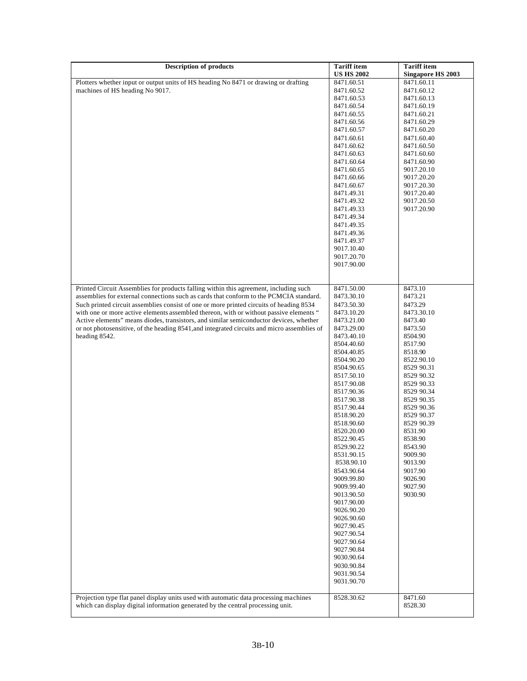| <b>Description of products</b>                                                              | <b>Tariff</b> item       | <b>Tariff</b> item       |
|---------------------------------------------------------------------------------------------|--------------------------|--------------------------|
|                                                                                             | <b>US HS 2002</b>        | <b>Singapore HS 2003</b> |
| Plotters whether input or output units of HS heading No 8471 or drawing or drafting         | 8471.60.51               | 8471.60.11               |
| machines of HS heading No 9017.                                                             | 8471.60.52               | 8471.60.12               |
|                                                                                             | 8471.60.53               | 8471.60.13               |
|                                                                                             | 8471.60.54               | 8471.60.19               |
|                                                                                             | 8471.60.55               | 8471.60.21               |
|                                                                                             | 8471.60.56               | 8471.60.29               |
|                                                                                             | 8471.60.57               | 8471.60.20               |
|                                                                                             | 8471.60.61               | 8471.60.40               |
|                                                                                             | 8471.60.62               | 8471.60.50               |
|                                                                                             | 8471.60.63               | 8471.60.60               |
|                                                                                             | 8471.60.64               | 8471.60.90               |
|                                                                                             | 8471.60.65               | 9017.20.10               |
|                                                                                             | 8471.60.66               | 9017.20.20               |
|                                                                                             | 8471.60.67               | 9017.20.30               |
|                                                                                             | 8471.49.31               | 9017.20.40               |
|                                                                                             | 8471.49.32               | 9017.20.50               |
|                                                                                             | 8471.49.33               | 9017.20.90               |
|                                                                                             | 8471.49.34               |                          |
|                                                                                             | 8471.49.35               |                          |
|                                                                                             | 8471.49.36               |                          |
|                                                                                             | 8471.49.37               |                          |
|                                                                                             | 9017.10.40               |                          |
|                                                                                             | 9017.20.70               |                          |
|                                                                                             | 9017.90.00               |                          |
|                                                                                             |                          |                          |
|                                                                                             |                          |                          |
| Printed Circuit Assemblies for products falling within this agreement, including such       | 8471.50.00               | 8473.10                  |
| assemblies for external connections such as cards that conform to the PCMCIA standard.      | 8473.30.10               | 8473.21                  |
| Such printed circuit assemblies consist of one or more printed circuits of heading 8534     | 8473.50.30               | 8473.29                  |
| with one or more active elements assembled thereon, with or without passive elements "      | 8473.10.20               | 8473.30.10               |
| Active elements" means diodes, transistors, and similar semiconductor devices, whether      | 8473.21.00               | 8473.40                  |
| or not photosensitive, of the heading 8541, and integrated circuits and micro assemblies of | 8473.29.00               | 8473.50                  |
| heading 8542.                                                                               | 8473.40.10               | 8504.90                  |
|                                                                                             | 8504.40.60               | 8517.90                  |
|                                                                                             | 8504.40.85               | 8518.90                  |
|                                                                                             | 8504.90.20               | 8522.90.10               |
|                                                                                             | 8504.90.65               | 8529 90.31               |
|                                                                                             | 8517.50.10               | 8529 90.32               |
|                                                                                             | 8517.90.08               | 8529 90.33               |
|                                                                                             | 8517.90.36               | 8529 90.34               |
|                                                                                             | 8517.90.38               | 8529 90.35               |
|                                                                                             | 8517.90.44               | 8529 90.36               |
|                                                                                             | 8518.90.20               | 8529 90.37               |
|                                                                                             | 8518.90.60               | 8529 90.39               |
|                                                                                             | 8520.20.00               | 8531.90                  |
|                                                                                             | 8522.90.45               | 8538.90                  |
|                                                                                             | 8529.90.22               | 8543.90                  |
|                                                                                             | 8531.90.15               | 9009.90                  |
|                                                                                             | 8538.90.10               | 9013.90                  |
|                                                                                             | 8543.90.64               | 9017.90                  |
|                                                                                             | 9009.99.80               | 9026.90                  |
|                                                                                             | 9009.99.40               | 9027.90                  |
|                                                                                             | 9013.90.50               | 9030.90                  |
|                                                                                             | 9017.90.00               |                          |
|                                                                                             | 9026.90.20               |                          |
|                                                                                             | 9026.90.60<br>9027.90.45 |                          |
|                                                                                             | 9027.90.54               |                          |
|                                                                                             |                          |                          |
|                                                                                             | 9027.90.64<br>9027.90.84 |                          |
|                                                                                             | 9030.90.64               |                          |
|                                                                                             |                          |                          |
|                                                                                             | 9030.90.84<br>9031.90.54 |                          |
|                                                                                             | 9031.90.70               |                          |
|                                                                                             |                          |                          |
| Projection type flat panel display units used with automatic data processing machines       | 8528.30.62               | 8471.60                  |
| which can display digital information generated by the central processing unit.             |                          | 8528.30                  |
|                                                                                             |                          |                          |